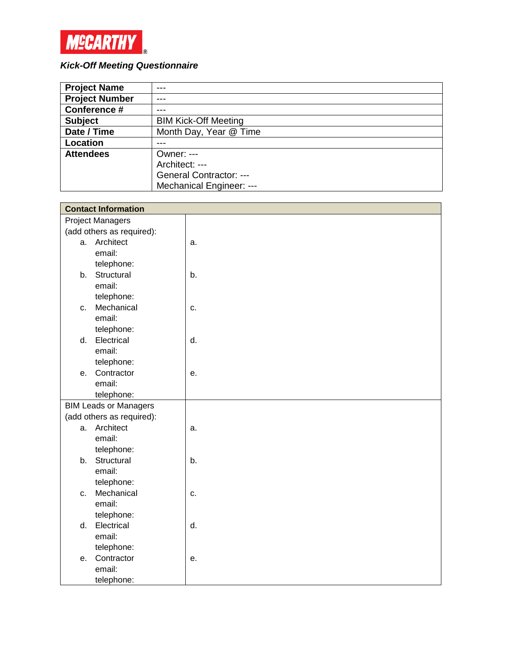

# *Kick-Off Meeting Questionnaire*

| <b>Project Name</b>   |                             |
|-----------------------|-----------------------------|
| <b>Project Number</b> | ---                         |
| Conference #          |                             |
| <b>Subject</b>        | <b>BIM Kick-Off Meeting</b> |
| Date / Time           | Month Day, Year @ Time      |
| Location              |                             |
| <b>Attendees</b>      | Owner: ---                  |
|                       | Architect: ---              |
|                       | General Contractor: ---     |
|                       | Mechanical Engineer: ---    |

| <b>Contact Information</b>   |    |  |
|------------------------------|----|--|
| <b>Project Managers</b>      |    |  |
| (add others as required):    |    |  |
| a. Architect                 | a. |  |
| email:                       |    |  |
| telephone:                   |    |  |
| Structural<br>b.             | b. |  |
| email:                       |    |  |
| telephone:                   |    |  |
| Mechanical<br>C.             | c. |  |
| email:                       |    |  |
| telephone:                   |    |  |
| Electrical<br>d.             | d. |  |
| email:                       |    |  |
| telephone:                   |    |  |
| Contractor<br>e.             | е. |  |
| email:                       |    |  |
| telephone:                   |    |  |
| <b>BIM Leads or Managers</b> |    |  |
| (add others as required):    |    |  |
| Architect<br>a.              | a. |  |
| email:                       |    |  |
| telephone:                   |    |  |
| b. Structural                | b. |  |
| email:                       |    |  |
| telephone:                   |    |  |
| Mechanical<br>C.             | c. |  |
| email:                       |    |  |
| telephone:                   |    |  |
| Electrical<br>d.             | d. |  |
| email:                       |    |  |
| telephone:                   |    |  |
| Contractor<br>e.             | e. |  |
| email:                       |    |  |
| telephone:                   |    |  |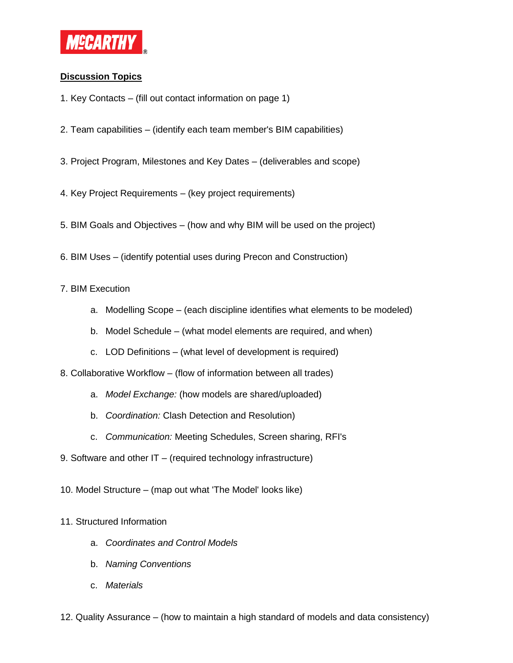

# **Discussion Topics**

- 1. Key Contacts (fill out contact information on page 1)
- 2. Team capabilities (identify each team member's BIM capabilities)
- 3. Project Program, Milestones and Key Dates (deliverables and scope)
- 4. Key Project Requirements (key project requirements)
- 5. BIM Goals and Objectives (how and why BIM will be used on the project)
- 6. BIM Uses (identify potential uses during Precon and Construction)

# 7. BIM Execution

- a. Modelling Scope (each discipline identifies what elements to be modeled)
- b. Model Schedule (what model elements are required, and when)
- c. LOD Definitions (what level of development is required)

8. Collaborative Workflow – (flow of information between all trades)

- a. *Model Exchange:* (how models are shared/uploaded)
- b. *Coordination:* Clash Detection and Resolution)
- c. *Communication:* Meeting Schedules, Screen sharing, RFI's
- 9. Software and other IT (required technology infrastructure)
- 10. Model Structure (map out what 'The Model' looks like)

# 11. Structured Information

- a. *Coordinates and Control Models*
- b. *Naming Conventions*
- c. *Materials*
- 12. Quality Assurance (how to maintain a high standard of models and data consistency)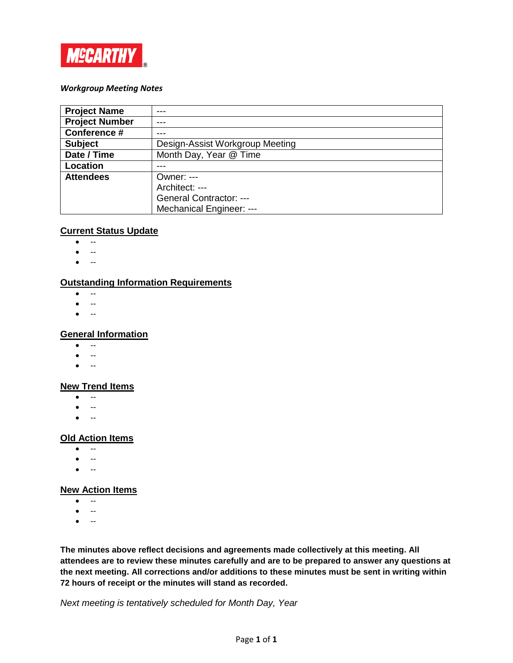

#### *Workgroup Meeting Notes*

| <b>Project Name</b>   | ---                             |
|-----------------------|---------------------------------|
| <b>Project Number</b> | ---                             |
| Conference #          |                                 |
| <b>Subject</b>        | Design-Assist Workgroup Meeting |
| Date / Time           | Month Day, Year @ Time          |
| Location              |                                 |
| <b>Attendees</b>      | Owner: $---$                    |
|                       | Architect: ---                  |
|                       | General Contractor: ---         |
|                       | Mechanical Engineer: ---        |

## **Current Status Update**

- --
- --
- --

# **Outstanding Information Requirements**

- --
- --
- --

#### **General Information**

- $\bullet$  --
- --
- $\bullet$  --

#### **New Trend Items**

- --
- $\bullet$  --
- $\bullet$  --

## **Old Action Items**

- --
- --
- --

## **New Action Items**

- $\bullet$   $\cdots$
- $\bullet$  --
- --

**The minutes above reflect decisions and agreements made collectively at this meeting. All attendees are to review these minutes carefully and are to be prepared to answer any questions at the next meeting. All corrections and/or additions to these minutes must be sent in writing within 72 hours of receipt or the minutes will stand as recorded.**

*Next meeting is tentatively scheduled for Month Day, Year*